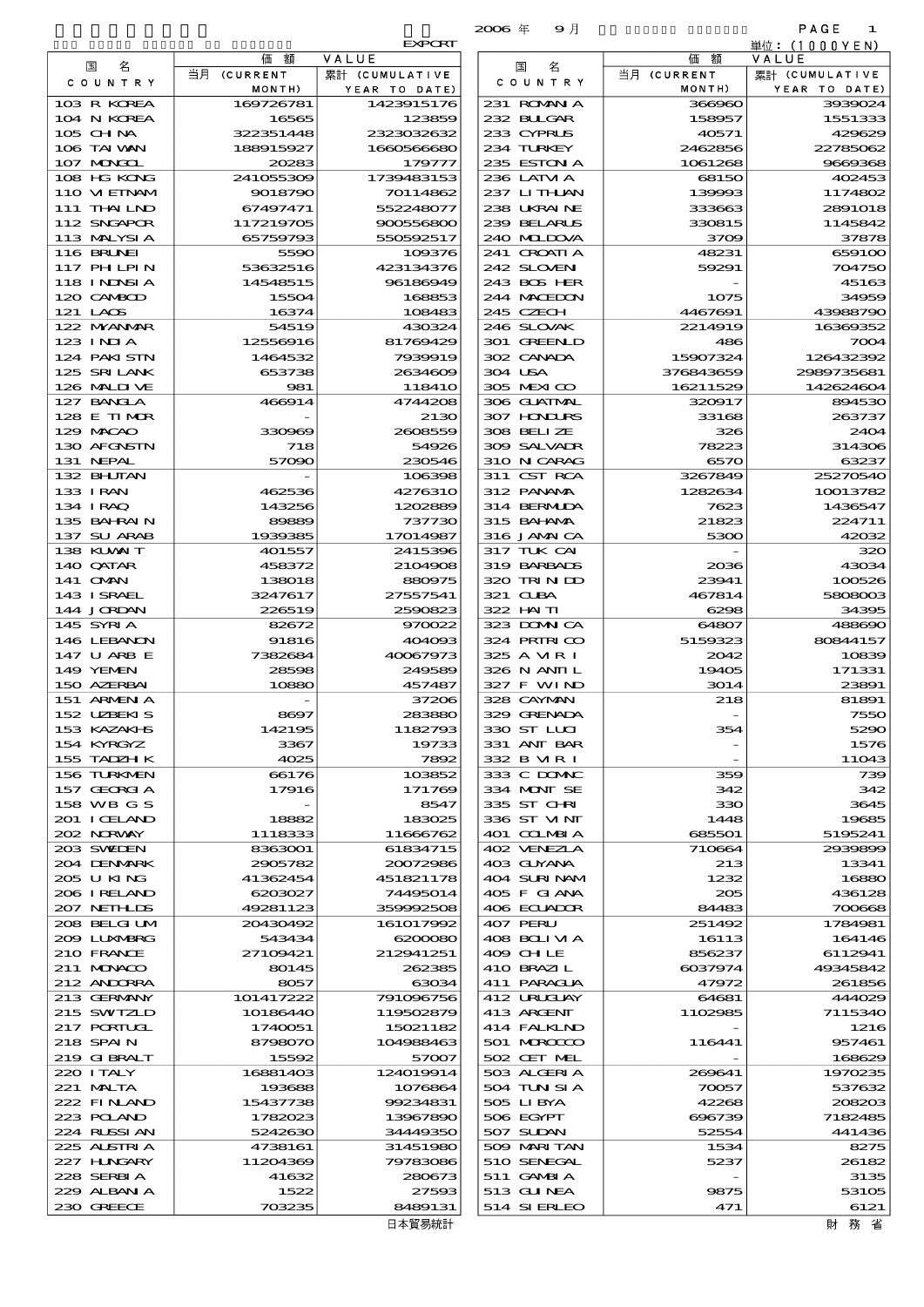|                            |                        |                          | $2006$ $#$<br>9月            |                       | PAGE<br>-1              |
|----------------------------|------------------------|--------------------------|-----------------------------|-----------------------|-------------------------|
|                            |                        | <b>EXPORT</b>            |                             |                       | 単位: (1000 Y E N)        |
| 名<br>国                     | 価<br>額<br>当月 (CURRENT  | VALUE<br>累計 (CUMULATIVE  | 名<br>国                      | 価<br>額<br>当月 (CURRENT | VALUE<br>累計 (CUMULATIVE |
| C O U N T R Y              | MONTH)                 | YEAR TO DATE)            | C O U N T R Y               | MONTH)                | YEAR TO DATE)           |
| 103 R KOREA                | 169726781              | 1423915176               | 231 ROMAN A                 | 366960                | 3939024                 |
| 104 N KOREA                | 16565                  | 123859                   | 232 BULGAR                  | 158957                | 1551333                 |
| 105 CHNA<br>106 TAI WAN    | 322351448<br>188915927 | 2323032632<br>1660566680 | 233 CYPRUS<br>234 TURKEY    | 40571<br>2462856      | 429629<br>22785062      |
| 107 MONGOL                 | 20283                  | 179777                   | 235 ESTON A                 | 1061268               | 9669368                 |
| 108 HG KONG                | 241055309              | 1739483153               | 236 LATM A                  | 68150                 | 402453                  |
| 110 VIETNAM                | 9018790                | 70114862                 | 237 LITHLAN                 | 139993                | 1174802                 |
| 111 THAILND                | 67497471               | 552248077                | 238 UKRAINE                 | 333663                | 2891018                 |
| 112 SNGAPOR                | 117219705              | 900556800                | 239 BELARUS                 | 330815                | 1145842                 |
| 113 MALYSIA<br>116 BRUNEI  | 65759793<br>5590       | 550592517<br>109376      | 240 MIDOVA<br>241 CROATIA   | 3709<br>48231         | 37878<br>659100         |
| 117 PHLPIN                 | 53632516               | 423134376                | 242 SLOVEN                  | 59291                 | 704750                  |
| 118 I NDNSI A              | 14548515               | 96186949                 | 243 BOS HER                 |                       | 45163                   |
| 120 CAMBOD                 | 15504                  | 168853                   | 244 MACEDON                 | 1075                  | 34959                   |
| 121 LAOS                   | 16374                  | 108483                   | 245 CZECH                   | 4467691               | 43988790                |
| 122 MYANAR<br>123 INJA     | 54519<br>12556916      | 430324<br>81769429       | 246 SLOVAK<br>301 GREENLD   | 2214919<br>486        | 16369352<br>7004        |
| 124 PAKI STN               | 1464532                | 7939919                  | 302 CANADA                  | 15907324              | 126432392               |
| 125 SRILANK                | 653738                 | 2634609                  | 304 USA                     | 376843659             | 2989735681              |
| 126 MALINE                 | 981                    | 11841O                   | 305 MEXICO                  | 16211529              | 142624604               |
| 127 BANCLA                 | 466914                 | 4744208                  | 306 GUATMAL                 | 320017                | 894530                  |
| 128 E TIMOR<br>129 MACAO   | 330969                 | 2130<br>2608559          | 307 HONDURS<br>308 BELLZE   | 33168<br>326          | 263737<br>2404          |
| 130 AFGNSTN                | 718                    | 54926                    | 309 SALVADR                 | 78223                 | 314306                  |
| 131 NEPAL                  | 57090                  | 230546                   | 310 N CARAG                 | 6570                  | 63237                   |
| 132 BHUTAN                 |                        | 106398                   | 311 CST RCA                 | 3267849               | 25270540                |
| 133 IRAN                   | 462536                 | 4276310                  | 312 PANAMA                  | 1282634               | 10013782                |
| 134 I RAQ                  | 143256                 | 1202889                  | 314 BERMIDA                 | 7623                  | 1436547                 |
| 135 BAHRAIN<br>137 SU ARAB | 89889<br>1939385       | 737730<br>17014987       | 315 BAI ANA<br>316 JAMAICA  | 21823<br>5300         | 224711<br>42032         |
| 138 KUWAIT                 | 401557                 | 2415396                  | 317 TUK CAI                 |                       | 320                     |
| 140 QATAR                  | 458372                 | 2104908                  | 319 BARBADS                 | 2036                  | 43034                   |
| 141 OMN                    | 138018                 | 880975                   | 320 TRINDO                  | 23941                 | 100526                  |
| 143 ISRAEL                 | 3247617                | 27557541                 | 321 CLBA                    | 467814                | 5808003                 |
| 144 JORDAN<br>145 SYRIA    | 226519<br>82672        | 2590823<br>970022        | 322 HAITI<br>323 DOMNICA    | 6298<br>64807         | 34395<br>488690         |
| 146 LEBANON                | 91816                  | 404093                   | 324 PRIRICO                 | 5159323               | 80844157                |
| 147 U ARB E                | 7382684                | 40067973                 | 325 A VIR I                 | 2042                  | 10839                   |
| 149 YEMEN                  | 28598                  | 249589                   | 326 N ANII L                | 19405                 | 171331                  |
| 150 AZERBAI<br>151 ARMEN A | 10880                  | 457487<br>37206          | 327 F WIND                  | 3014                  | 23891                   |
| 152 UZBEKIS                | 8697                   | 283880                   | 328 CAYMAN<br>329 GRENADA   | 218                   | 81891<br>7550           |
| 153 KAZAKI B               | 142195                 | 1182793                  | 330 ST LUI                  | 354                   | 5290                    |
| 154 KYRGYZ                 | 3367                   | 19733                    | 331 ANT BAR                 |                       | 1576                    |
| 155 TADZH K                | 4025                   | 7892                     | 332 B MR I                  |                       | 11043                   |
| 156 TURKMEN                | 66176                  | 103852                   | 333 C DOMAC<br>334 MONT SE  | 359                   | 739                     |
| 157 GEORGIA<br>158 WB G S  | 17916                  | 171769<br>8547           | 335 ST CHRI                 | 342<br>330            | 342<br>3645             |
| 201 I CELAND               | 18882                  | 183025                   | 336 ST VINT                 | 1448                  | 19685                   |
| 202 NORWAY                 | 1118333                | 11666762                 | 401 COLMBIA                 | 685501                | 5195241                 |
| 203 SWIDEN                 | 8363001                | 61834715                 | 402 VENEZIA                 | 710664                | 2939899                 |
| 204 DENMARK                | 2905782                | 20072986                 | 403 GUYANA<br>404 SURINAM   | 213<br>1232           | 13341<br>16880          |
| 205 U KING<br>206 I RELAND | 41362454<br>6203027    | 451821178<br>74495014    | 405 F GIANA                 | 205                   | 436128                  |
| 207 NETHLIS                | 49281123               | 359992508                | 406 ECUADOR                 | 84483                 | 700668                  |
| 208 BELGI UM               | 20430492               | 161017992                | 407 PERU                    | 251492                | 1784981                 |
| 2009 LUNABRG               | 543434                 | 6200080                  | 408 BOLI VI A               | 16113                 | 164146                  |
| 210 FRANCE                 | 27109421               | 212941251                | 409 CH LE                   | 856237                | 6112941                 |
| 211 MUNACO<br>212 ANDORRA  | 80145<br>8057          | 262385<br>63034          | 410 BRAZIL<br>411 PARAGUA   | 6037974<br>47972      | 49345842<br>261856      |
| 213 GERMANY                | 101417222              | 791096756                | 412 URUCUAY                 | 64681                 | 444029                  |
| 215 SWIZLD                 | 10186440               | 119502879                | 413 ARGENT                  | 1102985               | 7115340                 |
| 217 PORTUGL                | 1740051                | 15021182                 | 414 FALKIND                 |                       | 1216                    |
| 218 SPAIN                  | 8798070                | 104988463                | 501 MROCCO                  | 116441                | 957461                  |
| 219 GIBRALT<br>220 I TALY  | 15592<br>16881403      | 57007<br>124019914       | 502 CET MEL<br>503 ALGERIA  | 269641                | 168629<br>1970235       |
| 221 MALTA                  | 193688                 | 1076864                  | 504 TUN SI A                | 70057                 | 537632                  |
| 222 FINAND                 | 15437738               | 99234831                 | 505 LIBYA                   | 42268                 | 208203                  |
| 223 POLAND                 | 1782023                | 13967890                 | 506 EGYPT                   | 696739                | 7182485                 |
| 224 RUSSIAN                | 5242630                | 34449350                 | 507 SUDAN                   | 52554                 | 441436                  |
| 225 ALSTRIA<br>227 H.NGARY | 4738161<br>11204369    | 31451980<br>79783086     | 509 MARI TAN<br>510 SENEGAL | 1534<br>5237          | 8275<br>26182           |
| 228 SERBIA                 | 41632                  | 280673                   | 511 GAMBIA                  |                       | 3135                    |
| 229 ALBAN A                | 1522                   | 27593                    | 513 GUNEA                   | 9875                  | 53105                   |
| 230 GREECE                 | 703235                 | 8489131                  | 514 SIERLEO                 | 471                   | 6121                    |

|                            | 価額                     | VALUE                    |
|----------------------------|------------------------|--------------------------|
| 国<br>名<br>COUNTRY          | 当月 (CURRENT            | 累計 (CUMULATIVE           |
|                            | MONTH)                 | YEAR TO DATE)            |
| 103 R KOREA                | 169726781              | 1423915176               |
| 104 N KOREA                | 16565                  | 123859                   |
| 105 CHNA<br>106 TAI VAN    | 322351448<br>188915927 | 2323032632<br>1660566680 |
| 107 MAGCL                  | 20283                  | 17977.                   |
| 108 HG KONG                | 241055309              | 1739483153               |
| 110 VI EINAM               | 9018790                | 70114862                 |
| 111 THAI LND               | 67497471               | 552248077                |
| 112 SNGAPOR                | 117219705              | 900556800                |
| 113 MALYSIA                | 65759793               | 550592517                |
| <b>116 BRUNEI</b>          | 5590                   | 109376                   |
| <b>117 PHLPIN</b>          | 53632516               | 423134376                |
| 118 I NDSI A               | 14548515               | 96186949                 |
| 120 CAMBOD                 | 15504                  | 168853                   |
| 121 LAOS                   | 16374                  | 108483                   |
| 122 MYANMAR<br>$123$ INIA  | 54519<br>12556916      | 430324<br>81769429       |
| 124 PAKI STN               | 1464532                | 7939919                  |
| 125 SRILANK                | 653738                 | 2634609                  |
| 126 MALINE                 | 981                    | 118410                   |
| 127 BANGLA                 | 466914                 | 4744206                  |
| 128 E TIMOR                |                        | 213C                     |
| 129 MACAO                  | 330969                 | 2608559                  |
| 130 AFGNSTN                | 718                    | 54926                    |
| 131 NEPAL                  | 57090                  | 230546                   |
| 132 BHUTAN                 |                        | 106396                   |
| 133 I RAN                  | 462536                 | 4276310                  |
| 134 IRAQ                   | 143256                 | 1202889                  |
| 135 BAHRAIN<br>137 SU ARAB | 89889<br>1939385       | 737730                   |
| 138 KUWAIT                 | 401557                 | 17014987<br>2415396      |
| 140 QATAR                  | 458372                 | 2104906                  |
| 141 OMN                    | 138018                 | 880975                   |
| 143 I SRAEL                | 3247617                | 27557541                 |
| 144 JORDAN                 | 226519                 | 2590823                  |
| 145 SYRIA                  | 82672                  | 970022                   |
| 146 LEBANON                | 91816                  | 404093                   |
| 147 U ARB E                | 7382684                | 40067973                 |
| 149 YEMEN                  | 28598                  | 249589                   |
| 150 AZERBAI                | 10880                  | 457487                   |
| 151 ARMEN A<br>152 UZBEKIS |                        | 37200                    |
| 153 KAZAKI S               | 8697<br>142195         | 283880<br>1182793        |
| 154 KYRGYZ                 | 3367                   | 1973                     |
| 155 TADZH K                | 4025                   | 7892                     |
| 156 TURKMEN                | 66176                  | 103852                   |
| 157 GEORGIA                | 17916                  | 171769                   |
| 158 WB G S                 |                        | 8547                     |
| 201 I CELAND               | 18882                  | 183025                   |
| 202 NORWAY                 | 1118333                | 11666762                 |
| 203 SWIEN                  | 8363001                | 61834715                 |
| 204 DENMARK                | 2905782                | 20072986                 |
| 205 U KING<br>206 IRELAND  | 41362454<br>6203027    | 451821178<br>74495014    |
| 207 NETHLIS                | 49281123               | 359992506                |
| 208 BELGI UM               | 20430492               | 161017992                |
| 2009 LUXMBRG               | 543434                 | 6200080                  |
| 210 FRANCE                 | 27109421               | 212941251                |
| $211$ MINACO               | 80145                  | 262385                   |
| 212 ANDORRA                | 8057                   | 63034                    |
| 213 GERMANY                | 101417222              | 791096756                |
| 215 SWIZLD                 | 10186440               | 119502879                |
| 217 PORTUGL                | 1740051                | 15021182                 |
| 218 SPAIN                  | 8798070                | 104988463                |
| 219 G BRALT<br>220 I TALY  | 15592<br>16881403      | 57007<br>124019914       |
| 221 MALTA                  | 193688                 | 1076864                  |
| 222 FINAND                 | 15437738               | 99234831                 |
| 223 POLAND                 | 1782023                | 13967890                 |
| 224 RUSSIAN                | 5242630                | 34449350                 |
| 225 ALSIRIA                | 4738161                | 31451980                 |
| 227 HNGARY                 | 11204369               | 79783086                 |
| 228 SERBIA                 | 41632                  | 280673                   |
| 229 ALBAN A                | 1522                   | 27590                    |
| 230 GREECE                 | 703235                 | 8489131                  |
|                            |                        | 日本貿易統計                   |